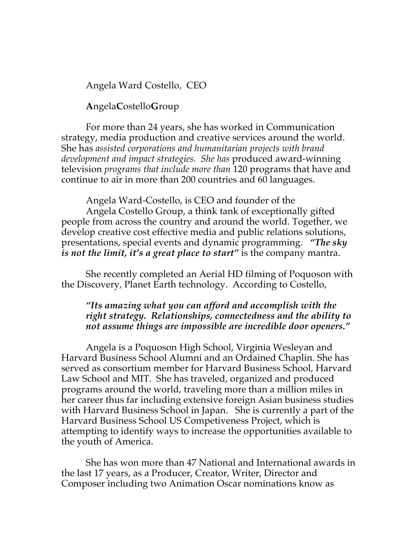Angela Ward Costello, CEO

## **A**ngela**C**ostello**G**roup

For more than 24 years, she has worked in Communication strategy, media production and creative services around the world. She has *assisted corporations and humanitarian projects with brand development and impact strategies. She has* produced award-winning television *programs that include more than* 120 programs that have and continue to air in more than 200 countries and 60 languages.

Angela Ward-Costello, is CEO and founder of the Angela Costello Group, a think tank of exceptionally gifted people from across the country and around the world. Together, we develop creative cost effective media and public relations solutions, presentations, special events and dynamic programming. *"The sky is not the limit, it's a great place to start"* is the company mantra.

She recently completed an Aerial HD filming of Poquoson with the Discovery, Planet Earth technology. According to Costello,

## *"Its amazing what you can afford and accomplish with the right strategy. Relationships, connectedness and the ability to not assume things are impossible are incredible door openers."*

Angela is a Poquoson High School, Virginia Wesleyan and Harvard Business School Alumni and an Ordained Chaplin. She has served as consortium member for Harvard Business School, Harvard Law School and MIT. She has traveled, organized and produced programs around the world, traveling more than a million miles in her career thus far including extensive foreign Asian business studies with Harvard Business School in Japan. She is currently a part of the Harvard Business School US Competiveness Project, which is attempting to identify ways to increase the opportunities available to the youth of America.

She has won more than 47 National and International awards in the last 17 years, as a Producer, Creator, Writer, Director and Composer including two Animation Oscar nominations know as